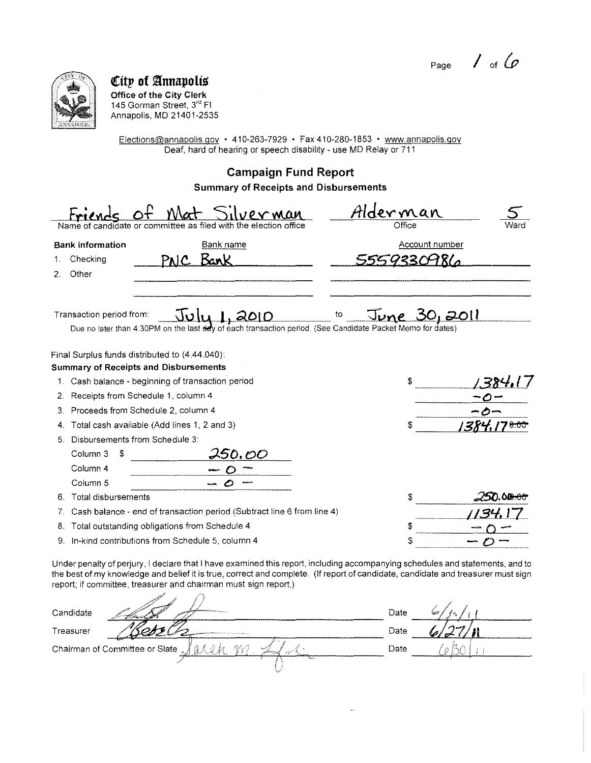Page

 $6/2$   $1/1$ 

6 BO

Date



Chairman of Committee or Slate

I erek m

City of Annapolis Office of the City Clerk 145 Gorman Street, 3rd Fl Annapolis, MD 21401-2535

Elections@annapolis.gov • 410-263-7929 • Fax 410-280-1853 • www.annapolis.gov Deaf, hard of hearing or speech disability - use MD Relay or 711

**Campaign Fund Report** 

**Summary of Receipts and Disbursements** 

|                          |                                                                  |                  |                                                                                                                                                                                                                                                                   |    | <u>Alderman</u>      |                       |  |
|--------------------------|------------------------------------------------------------------|------------------|-------------------------------------------------------------------------------------------------------------------------------------------------------------------------------------------------------------------------------------------------------------------|----|----------------------|-----------------------|--|
|                          | Name of candidate or committee as filed with the election office |                  |                                                                                                                                                                                                                                                                   |    | Office               |                       |  |
| <b>Bank information</b>  |                                                                  | <b>Bank name</b> |                                                                                                                                                                                                                                                                   |    |                      | <b>Account number</b> |  |
| Checking                 |                                                                  | Bark<br>PNIC     |                                                                                                                                                                                                                                                                   |    |                      | 9330986               |  |
| Other<br>2.              |                                                                  |                  |                                                                                                                                                                                                                                                                   |    |                      |                       |  |
| Transaction period from: |                                                                  | نتاقات           | 2010<br>Due no later than 4:30PM on the last dey of each transaction period. (See Candidate Packet Memo for dates)                                                                                                                                                | to | <u>June 30, 2011</u> |                       |  |
|                          | Final Surplus funds distributed to (4.44.040):                   |                  |                                                                                                                                                                                                                                                                   |    |                      |                       |  |
|                          | <b>Summary of Receipts and Disbursements</b>                     |                  |                                                                                                                                                                                                                                                                   |    |                      |                       |  |
|                          | 1. Cash balance - beginning of transaction period                |                  |                                                                                                                                                                                                                                                                   |    |                      |                       |  |
|                          | 2. Receipts from Schedule 1, column 4                            |                  |                                                                                                                                                                                                                                                                   |    |                      |                       |  |
|                          | 3. Proceeds from Schedule 2, column 4                            |                  |                                                                                                                                                                                                                                                                   |    |                      |                       |  |
|                          | 4. Total cash available (Add lines 1, 2 and 3)                   |                  |                                                                                                                                                                                                                                                                   |    |                      |                       |  |
|                          | 5. Disbursements from Schedule 3:                                |                  |                                                                                                                                                                                                                                                                   |    |                      |                       |  |
| Column 3                 | S                                                                | 250.OO           |                                                                                                                                                                                                                                                                   |    |                      |                       |  |
| Column 4                 |                                                                  |                  |                                                                                                                                                                                                                                                                   |    |                      |                       |  |
| Column 5                 |                                                                  |                  |                                                                                                                                                                                                                                                                   |    |                      |                       |  |
|                          | 6. Total disbursements                                           |                  |                                                                                                                                                                                                                                                                   |    |                      |                       |  |
|                          |                                                                  |                  | Cash balance - end of transaction period (Subtract line 6 from line 4)                                                                                                                                                                                            |    |                      |                       |  |
|                          | 8. Total outstanding obligations from Schedule 4                 |                  |                                                                                                                                                                                                                                                                   |    |                      |                       |  |
|                          | 9. In-kind contributions from Schedule 5, column 4               |                  |                                                                                                                                                                                                                                                                   |    | \$                   |                       |  |
|                          | report; if committee, treasurer and chairman must sign report.)  |                  | Under penalty of perjury, I declare that I have examined this report, including accompanying schedules and statements, and to<br>the best of my knowledge and belief it is true, correct and complete. (If report of candidate, candidate and treasurer must sign |    |                      |                       |  |
| Candidate                |                                                                  |                  |                                                                                                                                                                                                                                                                   |    | Date                 |                       |  |
| Treasurer                |                                                                  |                  |                                                                                                                                                                                                                                                                   |    | Date                 |                       |  |

 $1$  of  $6$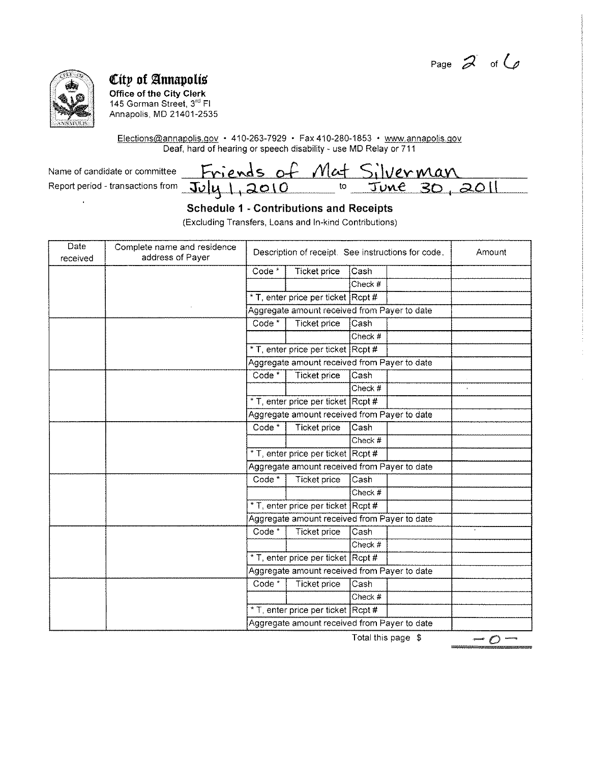Page  $\mathcal{Z}$  of  $\mathcal{Q}$ 



 $\overline{a}$ 

## **City of Annapolis**

**Office of the City Clerk**  145 Gorman Street, 3<sup>rd</sup> Fl Annapolis, MD 21401-2535

Elections@annapolis.gov • 410-263-7929 • Fax 410-280-1853 • www.annapolis.gov Deaf, hard of hearing or speech disability - use MD Relay or 711

 $N$ ame of candidate or committee **Report period - transactions from**  $\overline{\mathrm{J\nu}}$ **ly** 

|                                                                              |    | ------------------------------------- | - 200 |  |
|------------------------------------------------------------------------------|----|---------------------------------------|-------|--|
| $- - - -$<br>and an annual property of the contract of the contract of<br>__ | 75 |                                       |       |  |

### **Schedule 1 - Contributions and Receipts**

(Excluding Transfers, Loans and In-kind Contributions)

| Date<br>received | Complete name and residence<br>address of Payer | Description of receipt. See instructions for code. |                                              |         | Amount |  |
|------------------|-------------------------------------------------|----------------------------------------------------|----------------------------------------------|---------|--------|--|
|                  |                                                 | Code *                                             | <b>Ticket price</b>                          | Cash    |        |  |
|                  |                                                 |                                                    |                                              | Check # |        |  |
|                  |                                                 |                                                    | * T, enter price per ticket Rcpt #           |         |        |  |
|                  |                                                 |                                                    | Aggregate amount received from Payer to date |         |        |  |
|                  |                                                 | Code <sup>*</sup>                                  | <b>Ticket price</b>                          | Cash    |        |  |
|                  |                                                 |                                                    |                                              | Check # |        |  |
|                  |                                                 |                                                    | * T, enter price per ticket Rcpt #           |         |        |  |
|                  |                                                 |                                                    | Aggregate amount received from Payer to date |         |        |  |
|                  |                                                 | Code *                                             | Ticket price                                 | Cash    |        |  |
|                  |                                                 |                                                    |                                              | Check # |        |  |
|                  |                                                 |                                                    | * T, enter price per ticket Rcpt #           |         |        |  |
|                  |                                                 | Aggregate amount received from Payer to date       |                                              |         |        |  |
|                  |                                                 | Code *                                             | Ticket price                                 | Cash    |        |  |
|                  |                                                 |                                                    |                                              | Check # |        |  |
|                  |                                                 |                                                    | * T, enter price per ticket Rcpt #           |         |        |  |
|                  |                                                 | Aggregate amount received from Payer to date       |                                              |         |        |  |
|                  |                                                 | Code <sup>*</sup>                                  | Ticket price                                 | Cash    |        |  |
|                  |                                                 |                                                    |                                              | Check # |        |  |
|                  |                                                 |                                                    | * T, enter price per ticket Rcpt #           |         |        |  |
|                  |                                                 |                                                    | Aggregate amount received from Payer to date |         |        |  |
|                  |                                                 | Code <sup>*</sup>                                  | <b>Ticket price</b>                          | Cash    |        |  |
|                  |                                                 |                                                    |                                              | Check # |        |  |
|                  |                                                 |                                                    | * T, enter price per ticket Rcpt #           |         |        |  |
|                  |                                                 | Aggregate amount received from Payer to date       |                                              |         |        |  |
|                  |                                                 | Code <sup>*</sup>                                  | Ticket price                                 | Cash    |        |  |
|                  |                                                 |                                                    |                                              | Check # |        |  |
|                  |                                                 |                                                    | * T, enter price per ticket Rcpt #           |         |        |  |
|                  |                                                 |                                                    | Aggregate amount received from Payer to date |         |        |  |

Total this page \$

*-o-*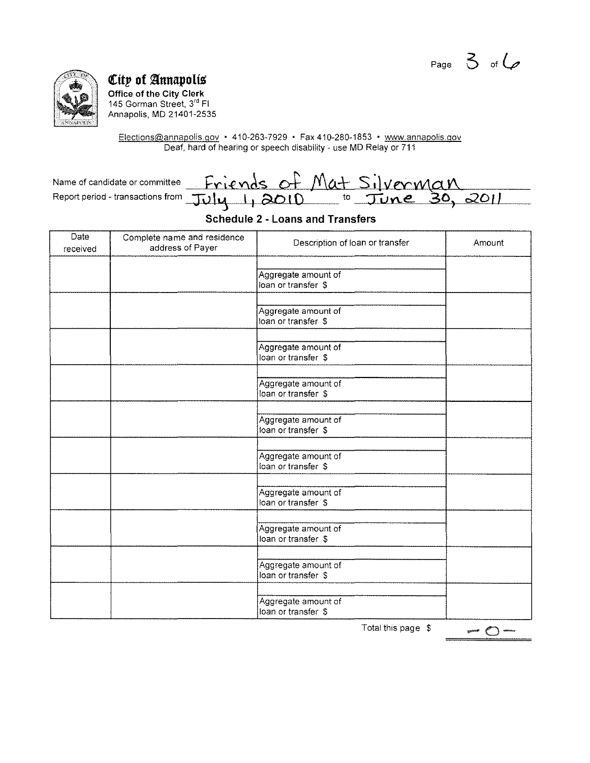Page  $3$  of  $6$ 



**City of Annapolis**<br>Office of the City Clerk<br>145 Gorman Street, 3<sup>rd</sup> Fl Annapolis, MD 21401-2535

Elections@annapolis.gov • 410-263-7929 • Fax 410-280-1853 • www.annapolis.gov<br>Deaf, hard of hearing or speech disability - use MD Relay or 711

| Name of candidate or committee                                  | <u>Friends of Mat Silverman</u> |  |  |  |
|-----------------------------------------------------------------|---------------------------------|--|--|--|
| Report period - transactions from July 1, 2010 to June 30, 2011 |                                 |  |  |  |

### **Schedule 2 - Loans and Transfers**

| Date<br>received | Complete name and residence<br>address of Payer | Description of loan or transfer            | Amount |
|------------------|-------------------------------------------------|--------------------------------------------|--------|
|                  |                                                 | Aggregate amount of<br>loan or transfer \$ |        |
|                  |                                                 | Aggregate amount of<br>loan or transfer \$ |        |
|                  |                                                 | Aggregate amount of<br>loan or transfer \$ |        |
|                  |                                                 | Aggregate amount of<br>loan or transfer \$ |        |
|                  |                                                 | Aggregate amount of<br>loan or transfer \$ |        |
|                  |                                                 | Aggregate amount of<br>loan or transfer \$ |        |
|                  |                                                 | Aggregate amount of<br>loan or transfer \$ |        |
|                  |                                                 | Aggregate amount of<br>loan or transfer \$ |        |
|                  |                                                 | Aggregate amount of<br>loan or transfer \$ |        |
|                  |                                                 | Aggregate amount of<br>loan or transfer \$ |        |
|                  |                                                 | Total this page \$                         |        |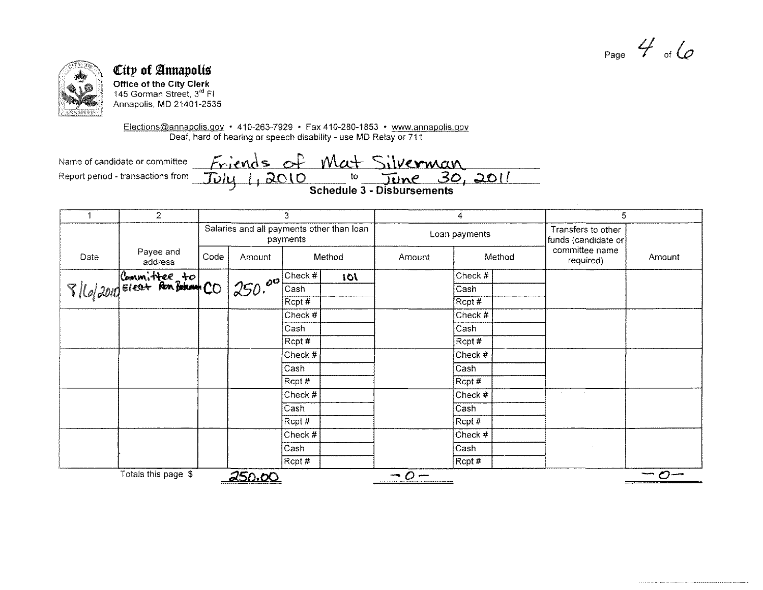Page  $4$  of  $6$ 



# City of Annapolis

Office of the City Clerk 145 Gorman Street,  $3<sup>rd</sup>$  FI Annapolis, MD 21401-2535

Elections@annapolis.gov • 410-263-7929 • Fax 410-280-1853 • www.annapolis.gov Deaf, hard of hearing or speech disability - use MD Relay or 711

Name of candidate or committee <u>Friends</u> of Mat Silverman<br>Report period - transactions from July 1, 2010 to June 30, 2011

|      | $\overline{2}$                | 3    |               | 4                                                     |        | 5             |           |                                           |                             |            |
|------|-------------------------------|------|---------------|-------------------------------------------------------|--------|---------------|-----------|-------------------------------------------|-----------------------------|------------|
|      |                               |      |               | Salaries and all payments other than loan<br>payments |        | Loan payments |           | Transfers to other<br>funds (candidate or |                             |            |
| Date | Payee and<br>address          | Code | Amount        |                                                       | Method | Amount        |           | Method                                    | committee name<br>required) | Amount     |
|      | 8/6/2010 Eleat Ron Battany CO |      |               | Check #                                               | 101    |               | Check #   |                                           |                             |            |
|      |                               |      | 1250.00       | Cash                                                  |        |               | Cash      |                                           |                             |            |
|      |                               |      |               | Rept#                                                 |        |               | Recpt#    |                                           |                             |            |
|      |                               |      |               | Check #                                               |        |               | Check #   |                                           |                             |            |
|      |                               |      |               | Cash                                                  |        |               | Cash      |                                           |                             |            |
|      |                               |      |               | Rcpt#                                                 |        |               | Rcpt #    |                                           |                             |            |
|      |                               |      |               | Check #                                               |        |               | Check #   |                                           |                             |            |
|      |                               |      |               | Cash                                                  |        |               | Cash      |                                           |                             |            |
|      |                               |      |               | Rcpt #                                                |        |               | Rcpt#     |                                           |                             |            |
|      |                               |      |               | Check #                                               |        |               | Check #   |                                           | $\sim$<br><b>Contract</b>   |            |
|      |                               |      |               | Cash                                                  |        |               | Cash      |                                           |                             |            |
|      |                               |      |               | Rcpt #                                                |        |               | Rept#     |                                           |                             |            |
|      |                               |      |               | Check #                                               |        |               | Check $#$ |                                           |                             |            |
|      |                               |      |               | Cash                                                  |        |               | Cash      |                                           |                             |            |
|      |                               |      |               | Rcpt#                                                 |        |               | Rcpt #    |                                           |                             |            |
|      | Totals this page \$           |      | <u>250.00</u> |                                                       |        | $-0-$         |           |                                           |                             | $-\sigma-$ |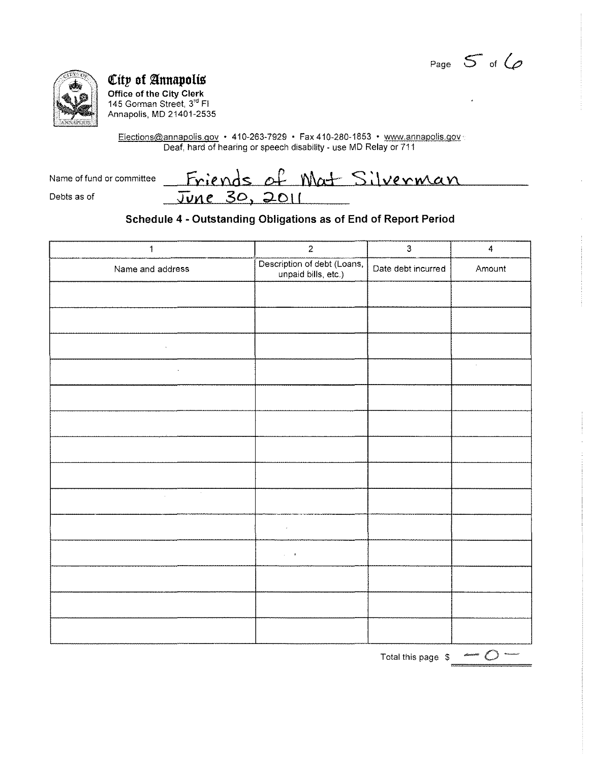Page  $5$  of  $6$ 



Debts as of

City of Annapolis Office of the City Clerk 145 Gorman Street, 3<sup>rd</sup> Fl Annapolis, MD 21401-2535

Elections@annapolis.gov • 410-263-7929 • Fax 410-280-1853 • www.annapolis.gov Deaf, hard of hearing or speech disability - use MD Relay or 711

Name of fund or committee

Friends of Mat Silverman <u>June 30, 2011</u>

### Schedule 4 - Outstanding Obligations as of End of Report Period

| $\mathbf 1$                                                                                                                        | $\overline{2}$                                     | $\mathbf{3}$       | 4      |
|------------------------------------------------------------------------------------------------------------------------------------|----------------------------------------------------|--------------------|--------|
| Name and address                                                                                                                   | Description of debt (Loans,<br>unpaid bills, etc.) | Date debt incurred | Amount |
|                                                                                                                                    |                                                    |                    |        |
|                                                                                                                                    |                                                    |                    |        |
| $\sim 100$ km s $^{-1}$                                                                                                            |                                                    |                    |        |
| $\mathcal{L}(\mathcal{L}^{\mathcal{L}})$ and $\mathcal{L}(\mathcal{L}^{\mathcal{L}})$ and $\mathcal{L}(\mathcal{L}^{\mathcal{L}})$ |                                                    |                    | $\sim$ |
|                                                                                                                                    |                                                    |                    |        |
|                                                                                                                                    |                                                    |                    |        |
|                                                                                                                                    |                                                    |                    |        |
|                                                                                                                                    |                                                    |                    |        |
| $\sim 10^7$<br>$\sim 10^{11}$ m                                                                                                    |                                                    |                    |        |
|                                                                                                                                    | $\epsilon$                                         |                    |        |
|                                                                                                                                    | $\mathcal{L} = \mathcal{R}$ .                      |                    |        |
|                                                                                                                                    |                                                    |                    |        |
|                                                                                                                                    |                                                    |                    |        |
|                                                                                                                                    |                                                    |                    |        |

Total this page  $\phi \leftrightarrow \phi$  -